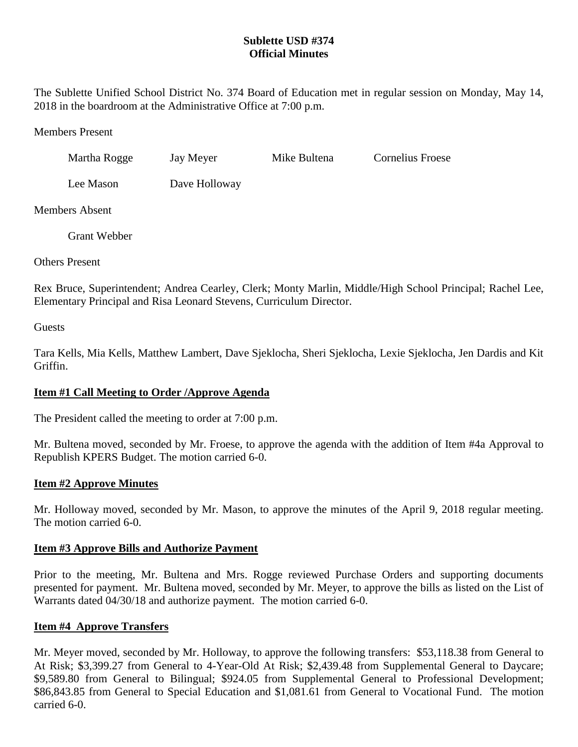## **Sublette USD #374 Official Minutes**

The Sublette Unified School District No. 374 Board of Education met in regular session on Monday, May 14, 2018 in the boardroom at the Administrative Office at 7:00 p.m.

Members Present

| Martha Rogge | Jay Meyer | Mike Bultena | <b>Cornelius Froese</b> |
|--------------|-----------|--------------|-------------------------|
|              |           |              |                         |

Lee Mason Dave Holloway

Members Absent

Grant Webber

Others Present

Rex Bruce, Superintendent; Andrea Cearley, Clerk; Monty Marlin, Middle/High School Principal; Rachel Lee, Elementary Principal and Risa Leonard Stevens, Curriculum Director.

Guests

Tara Kells, Mia Kells, Matthew Lambert, Dave Sjeklocha, Sheri Sjeklocha, Lexie Sjeklocha, Jen Dardis and Kit Griffin.

# **Item #1 Call Meeting to Order /Approve Agenda**

The President called the meeting to order at 7:00 p.m.

Mr. Bultena moved, seconded by Mr. Froese, to approve the agenda with the addition of Item #4a Approval to Republish KPERS Budget. The motion carried 6-0.

## **Item #2 Approve Minutes**

Mr. Holloway moved, seconded by Mr. Mason, to approve the minutes of the April 9, 2018 regular meeting. The motion carried 6-0.

# **Item #3 Approve Bills and Authorize Payment**

Prior to the meeting, Mr. Bultena and Mrs. Rogge reviewed Purchase Orders and supporting documents presented for payment. Mr. Bultena moved, seconded by Mr. Meyer, to approve the bills as listed on the List of Warrants dated 04/30/18 and authorize payment. The motion carried 6-0.

# **Item #4 Approve Transfers**

Mr. Meyer moved, seconded by Mr. Holloway, to approve the following transfers: \$53,118.38 from General to At Risk; \$3,399.27 from General to 4-Year-Old At Risk; \$2,439.48 from Supplemental General to Daycare; \$9,589.80 from General to Bilingual; \$924.05 from Supplemental General to Professional Development; \$86,843.85 from General to Special Education and \$1,081.61 from General to Vocational Fund. The motion carried 6-0.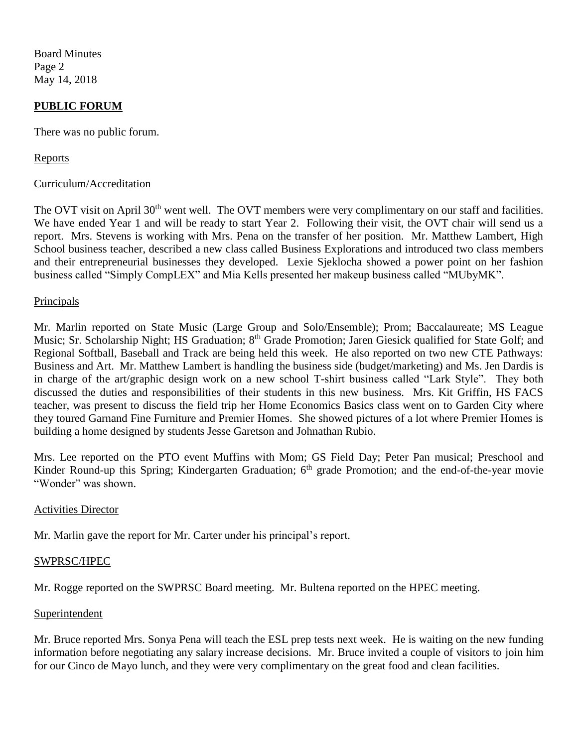Board Minutes Page 2 May 14, 2018

### **PUBLIC FORUM**

There was no public forum.

#### Reports

#### Curriculum/Accreditation

The OVT visit on April 30<sup>th</sup> went well. The OVT members were very complimentary on our staff and facilities. We have ended Year 1 and will be ready to start Year 2. Following their visit, the OVT chair will send us a report. Mrs. Stevens is working with Mrs. Pena on the transfer of her position. Mr. Matthew Lambert, High School business teacher, described a new class called Business Explorations and introduced two class members and their entrepreneurial businesses they developed. Lexie Sjeklocha showed a power point on her fashion business called "Simply CompLEX" and Mia Kells presented her makeup business called "MUbyMK".

#### Principals

Mr. Marlin reported on State Music (Large Group and Solo/Ensemble); Prom; Baccalaureate; MS League Music; Sr. Scholarship Night; HS Graduation; 8<sup>th</sup> Grade Promotion; Jaren Giesick qualified for State Golf; and Regional Softball, Baseball and Track are being held this week. He also reported on two new CTE Pathways: Business and Art. Mr. Matthew Lambert is handling the business side (budget/marketing) and Ms. Jen Dardis is in charge of the art/graphic design work on a new school T-shirt business called "Lark Style". They both discussed the duties and responsibilities of their students in this new business. Mrs. Kit Griffin, HS FACS teacher, was present to discuss the field trip her Home Economics Basics class went on to Garden City where they toured Garnand Fine Furniture and Premier Homes. She showed pictures of a lot where Premier Homes is building a home designed by students Jesse Garetson and Johnathan Rubio.

Mrs. Lee reported on the PTO event Muffins with Mom; GS Field Day; Peter Pan musical; Preschool and Kinder Round-up this Spring; Kindergarten Graduation; 6<sup>th</sup> grade Promotion; and the end-of-the-year movie "Wonder" was shown.

#### Activities Director

Mr. Marlin gave the report for Mr. Carter under his principal's report.

#### SWPRSC/HPEC

Mr. Rogge reported on the SWPRSC Board meeting. Mr. Bultena reported on the HPEC meeting.

#### **Superintendent**

Mr. Bruce reported Mrs. Sonya Pena will teach the ESL prep tests next week. He is waiting on the new funding information before negotiating any salary increase decisions. Mr. Bruce invited a couple of visitors to join him for our Cinco de Mayo lunch, and they were very complimentary on the great food and clean facilities.